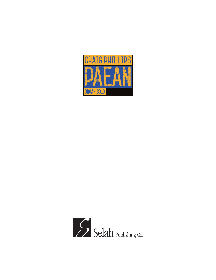

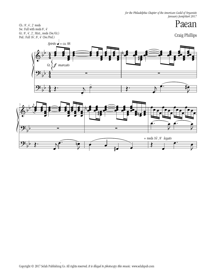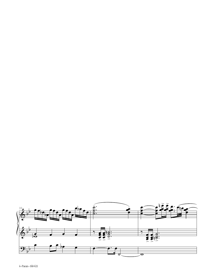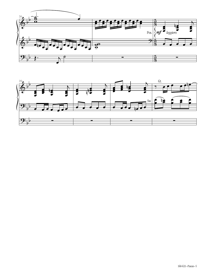

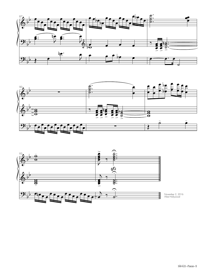